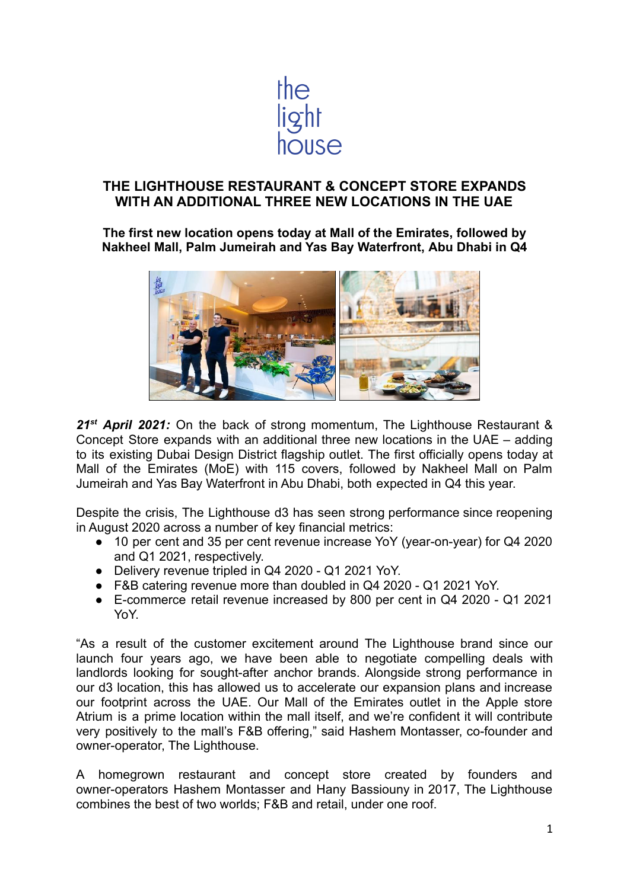

# **THE LIGHTHOUSE RESTAURANT & CONCEPT STORE EXPANDS WITH AN ADDITIONAL THREE NEW LOCATIONS IN THE UAE**

**The first new location opens today at Mall of the Emirates, followed by Nakheel Mall, Palm Jumeirah and Yas Bay Waterfront, Abu Dhabi in Q4**



*21st April 2021:* On the back of strong momentum, The Lighthouse Restaurant & Concept Store expands with an additional three new locations in the UAE – adding to its existing Dubai Design District flagship outlet. The first officially opens today at Mall of the Emirates (MoE) with 115 covers, followed by Nakheel Mall on Palm Jumeirah and Yas Bay Waterfront in Abu Dhabi, both expected in Q4 this year.

Despite the crisis, The Lighthouse d3 has seen strong performance since reopening in August 2020 across a number of key financial metrics:

- 10 per cent and 35 per cent revenue increase YoY (year-on-year) for Q4 2020 and Q1 2021, respectively.
- Delivery revenue tripled in Q4 2020 Q1 2021 YoY.
- F&B catering revenue more than doubled in Q4 2020 Q1 2021 YoY.
- E-commerce retail revenue increased by 800 per cent in Q4 2020 Q1 2021 YoY.

"As a result of the customer excitement around The Lighthouse brand since our launch four years ago, we have been able to negotiate compelling deals with landlords looking for sought-after anchor brands. Alongside strong performance in our d3 location, this has allowed us to accelerate our expansion plans and increase our footprint across the UAE. Our Mall of the Emirates outlet in the Apple store Atrium is a prime location within the mall itself, and we're confident it will contribute very positively to the mall's F&B offering," said Hashem Montasser, co-founder and owner-operator, The Lighthouse.

A homegrown restaurant and concept store created by founders and owner-operators Hashem Montasser and Hany Bassiouny in 2017, The Lighthouse combines the best of two worlds; F&B and retail, under one roof.